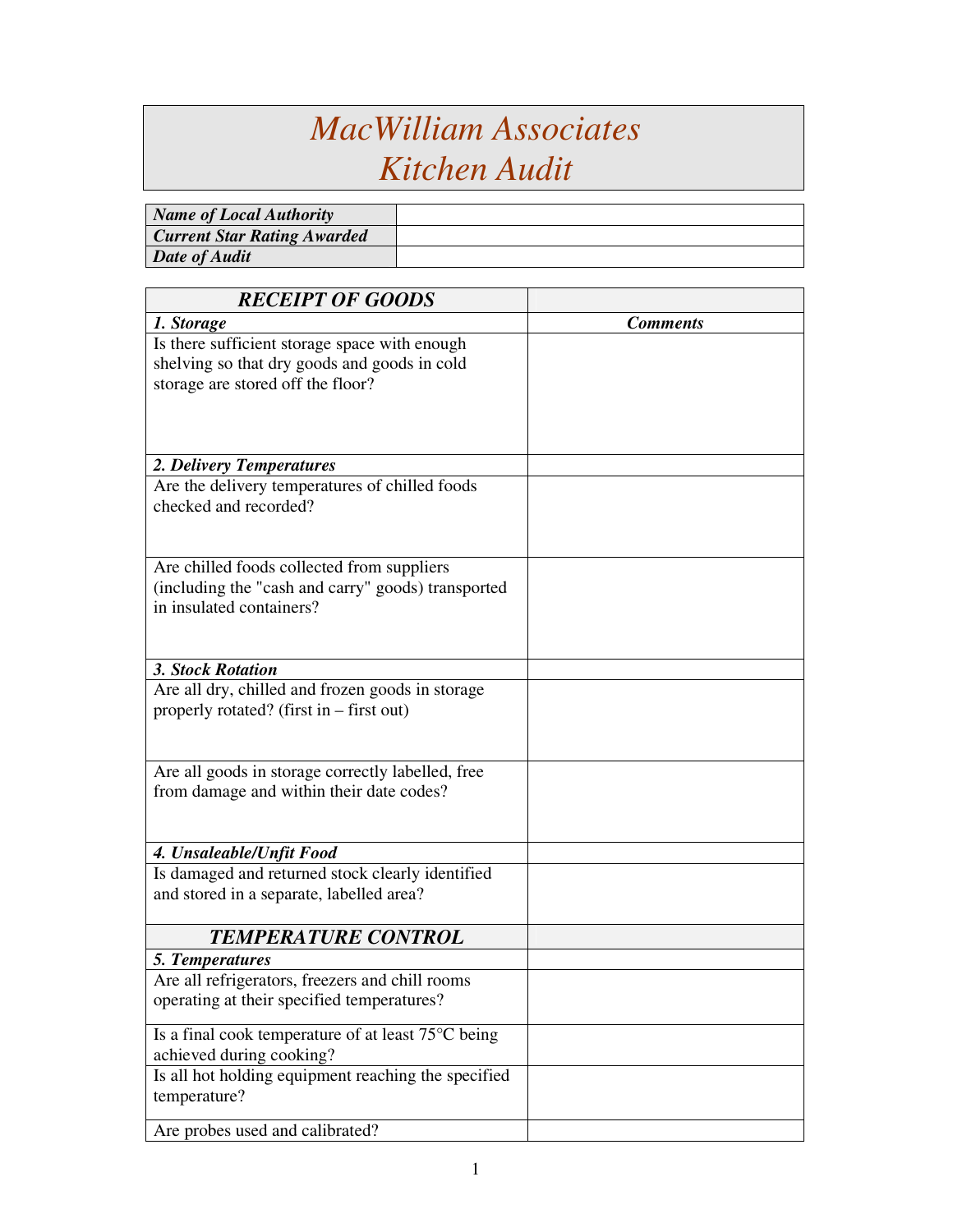## *MacWilliam Associates Kitchen Audit*

| Name of Local Authority            |  |
|------------------------------------|--|
| <b>Current Star Rating Awarded</b> |  |
| Date of Audit                      |  |

| 1. Storage<br><b>Comments</b><br>Is there sufficient storage space with enough<br>shelving so that dry goods and goods in cold<br>storage are stored off the floor?<br>2. Delivery Temperatures<br>Are the delivery temperatures of chilled foods<br>checked and recorded?<br>Are chilled foods collected from suppliers<br>(including the "cash and carry" goods) transported<br>in insulated containers? |
|------------------------------------------------------------------------------------------------------------------------------------------------------------------------------------------------------------------------------------------------------------------------------------------------------------------------------------------------------------------------------------------------------------|
|                                                                                                                                                                                                                                                                                                                                                                                                            |
|                                                                                                                                                                                                                                                                                                                                                                                                            |
|                                                                                                                                                                                                                                                                                                                                                                                                            |
|                                                                                                                                                                                                                                                                                                                                                                                                            |
|                                                                                                                                                                                                                                                                                                                                                                                                            |
|                                                                                                                                                                                                                                                                                                                                                                                                            |
|                                                                                                                                                                                                                                                                                                                                                                                                            |
|                                                                                                                                                                                                                                                                                                                                                                                                            |
|                                                                                                                                                                                                                                                                                                                                                                                                            |
|                                                                                                                                                                                                                                                                                                                                                                                                            |
|                                                                                                                                                                                                                                                                                                                                                                                                            |
|                                                                                                                                                                                                                                                                                                                                                                                                            |
|                                                                                                                                                                                                                                                                                                                                                                                                            |
|                                                                                                                                                                                                                                                                                                                                                                                                            |
|                                                                                                                                                                                                                                                                                                                                                                                                            |
|                                                                                                                                                                                                                                                                                                                                                                                                            |
| 3. Stock Rotation                                                                                                                                                                                                                                                                                                                                                                                          |
| Are all dry, chilled and frozen goods in storage                                                                                                                                                                                                                                                                                                                                                           |
| properly rotated? (first in – first out)                                                                                                                                                                                                                                                                                                                                                                   |
|                                                                                                                                                                                                                                                                                                                                                                                                            |
|                                                                                                                                                                                                                                                                                                                                                                                                            |
| Are all goods in storage correctly labelled, free                                                                                                                                                                                                                                                                                                                                                          |
| from damage and within their date codes?                                                                                                                                                                                                                                                                                                                                                                   |
|                                                                                                                                                                                                                                                                                                                                                                                                            |
|                                                                                                                                                                                                                                                                                                                                                                                                            |
| 4. Unsaleable/Unfit Food                                                                                                                                                                                                                                                                                                                                                                                   |
| Is damaged and returned stock clearly identified                                                                                                                                                                                                                                                                                                                                                           |
| and stored in a separate, labelled area?                                                                                                                                                                                                                                                                                                                                                                   |
| <b>TEMPERATURE CONTROL</b>                                                                                                                                                                                                                                                                                                                                                                                 |
| 5. Temperatures                                                                                                                                                                                                                                                                                                                                                                                            |
| Are all refrigerators, freezers and chill rooms                                                                                                                                                                                                                                                                                                                                                            |
| operating at their specified temperatures?                                                                                                                                                                                                                                                                                                                                                                 |
|                                                                                                                                                                                                                                                                                                                                                                                                            |
| Is a final cook temperature of at least 75°C being                                                                                                                                                                                                                                                                                                                                                         |
| achieved during cooking?                                                                                                                                                                                                                                                                                                                                                                                   |
| Is all hot holding equipment reaching the specified                                                                                                                                                                                                                                                                                                                                                        |
| temperature?                                                                                                                                                                                                                                                                                                                                                                                               |
| Are probes used and calibrated?                                                                                                                                                                                                                                                                                                                                                                            |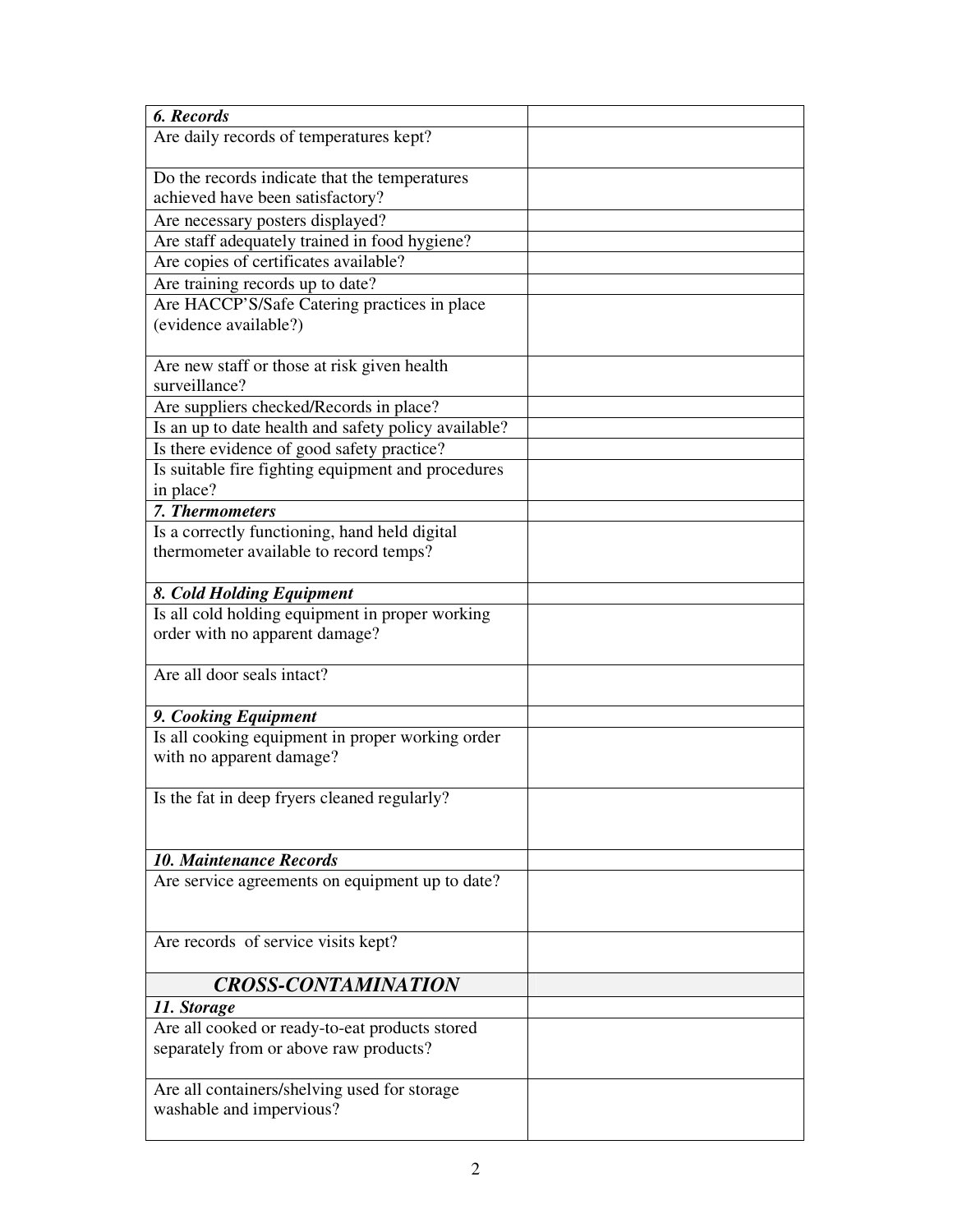| 6. Records                                                                   |  |
|------------------------------------------------------------------------------|--|
| Are daily records of temperatures kept?                                      |  |
|                                                                              |  |
| Do the records indicate that the temperatures                                |  |
| achieved have been satisfactory?                                             |  |
| Are necessary posters displayed?                                             |  |
| Are staff adequately trained in food hygiene?                                |  |
| Are copies of certificates available?                                        |  |
| Are training records up to date?                                             |  |
| Are HACCP'S/Safe Catering practices in place                                 |  |
| (evidence available?)                                                        |  |
|                                                                              |  |
| Are new staff or those at risk given health                                  |  |
| surveillance?                                                                |  |
| Are suppliers checked/Records in place?                                      |  |
| Is an up to date health and safety policy available?                         |  |
| Is there evidence of good safety practice?                                   |  |
| Is suitable fire fighting equipment and procedures                           |  |
| in place?                                                                    |  |
| 7. Thermometers                                                              |  |
| Is a correctly functioning, hand held digital                                |  |
| thermometer available to record temps?                                       |  |
|                                                                              |  |
|                                                                              |  |
| 8. Cold Holding Equipment<br>Is all cold holding equipment in proper working |  |
|                                                                              |  |
| order with no apparent damage?                                               |  |
| Are all door seals intact?                                                   |  |
|                                                                              |  |
| 9. Cooking Equipment                                                         |  |
| Is all cooking equipment in proper working order                             |  |
| with no apparent damage?                                                     |  |
|                                                                              |  |
| Is the fat in deep fryers cleaned regularly?                                 |  |
|                                                                              |  |
|                                                                              |  |
| <b>10. Maintenance Records</b>                                               |  |
| Are service agreements on equipment up to date?                              |  |
|                                                                              |  |
|                                                                              |  |
| Are records of service visits kept?                                          |  |
|                                                                              |  |
|                                                                              |  |
| <b>CROSS-CONTAMINATION</b>                                                   |  |
| 11. Storage                                                                  |  |
| Are all cooked or ready-to-eat products stored                               |  |
| separately from or above raw products?                                       |  |
|                                                                              |  |
| Are all containers/shelving used for storage                                 |  |
| washable and impervious?                                                     |  |
|                                                                              |  |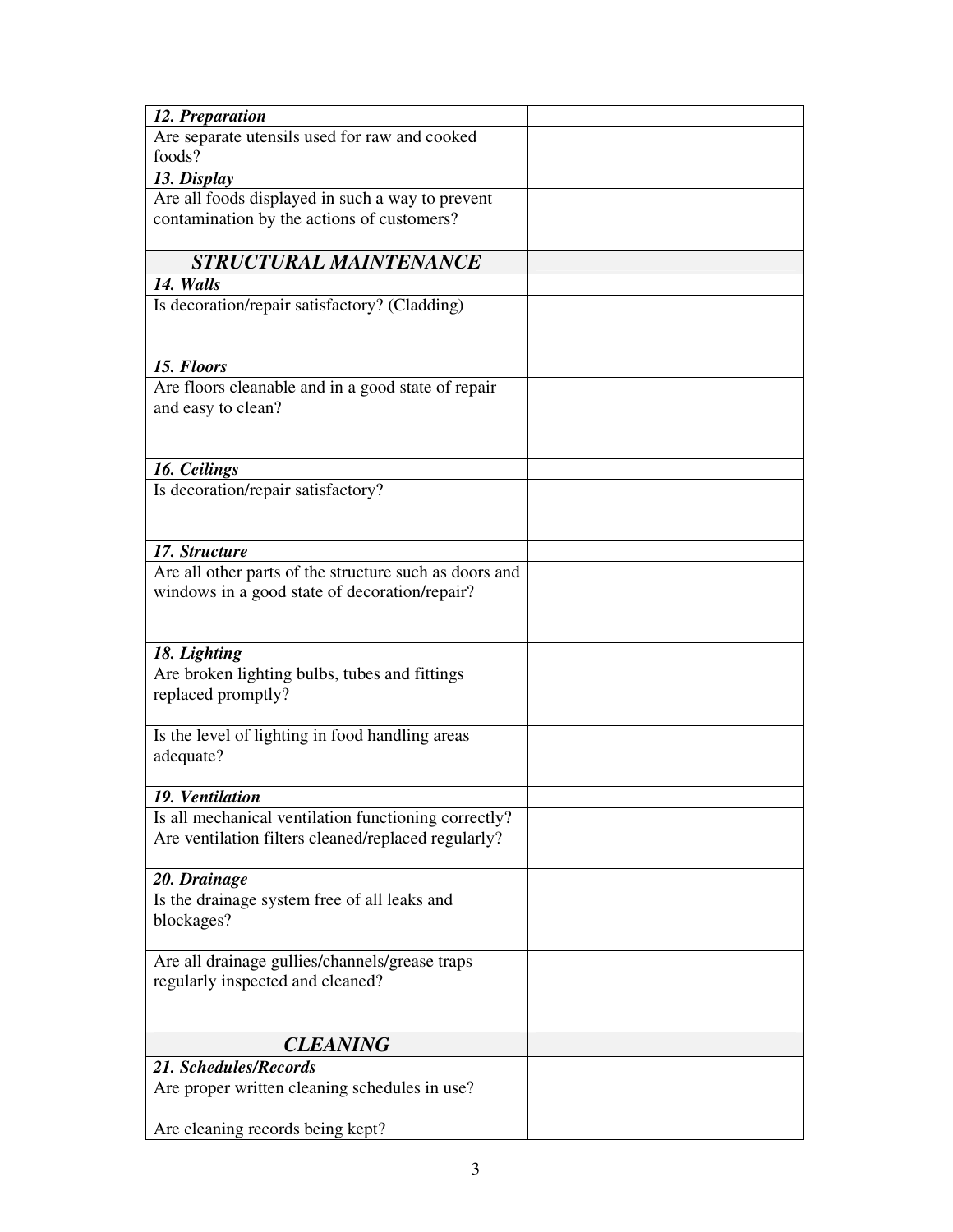| 12. Preparation                                        |  |
|--------------------------------------------------------|--|
| Are separate utensils used for raw and cooked          |  |
| foods?                                                 |  |
| 13. Display                                            |  |
| Are all foods displayed in such a way to prevent       |  |
| contamination by the actions of customers?             |  |
|                                                        |  |
| <b>STRUCTURAL MAINTENANCE</b>                          |  |
| 14. Walls                                              |  |
| Is decoration/repair satisfactory? (Cladding)          |  |
|                                                        |  |
|                                                        |  |
| 15. Floors                                             |  |
| Are floors cleanable and in a good state of repair     |  |
| and easy to clean?                                     |  |
|                                                        |  |
| 16. Ceilings                                           |  |
| Is decoration/repair satisfactory?                     |  |
|                                                        |  |
|                                                        |  |
| 17. Structure                                          |  |
| Are all other parts of the structure such as doors and |  |
| windows in a good state of decoration/repair?          |  |
|                                                        |  |
|                                                        |  |
| 18. Lighting                                           |  |
| Are broken lighting bulbs, tubes and fittings          |  |
| replaced promptly?                                     |  |
| Is the level of lighting in food handling areas        |  |
| adequate?                                              |  |
|                                                        |  |
| 19. Ventilation                                        |  |
| Is all mechanical ventilation functioning correctly?   |  |
| Are ventilation filters cleaned/replaced regularly?    |  |
|                                                        |  |
| 20. Drainage                                           |  |
| Is the drainage system free of all leaks and           |  |
| blockages?                                             |  |
|                                                        |  |
| Are all drainage gullies/channels/grease traps         |  |
| regularly inspected and cleaned?                       |  |
|                                                        |  |
| <b>CLEANING</b>                                        |  |
| 21. Schedules/Records                                  |  |
| Are proper written cleaning schedules in use?          |  |
|                                                        |  |
| Are cleaning records being kept?                       |  |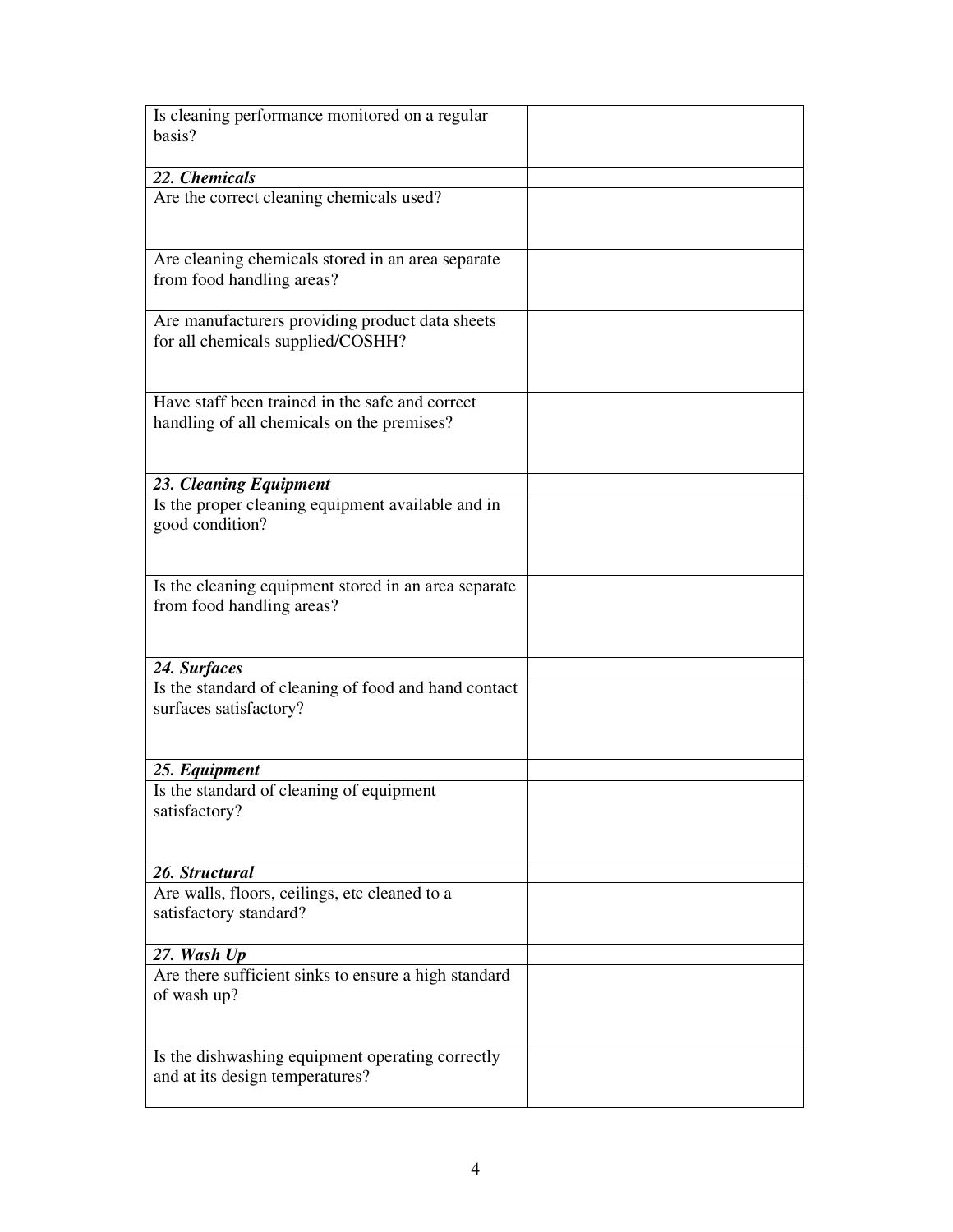| Is cleaning performance monitored on a regular                                    |  |
|-----------------------------------------------------------------------------------|--|
| basis?                                                                            |  |
|                                                                                   |  |
| 22. Chemicals                                                                     |  |
| Are the correct cleaning chemicals used?                                          |  |
|                                                                                   |  |
| Are cleaning chemicals stored in an area separate                                 |  |
| from food handling areas?                                                         |  |
|                                                                                   |  |
| Are manufacturers providing product data sheets                                   |  |
| for all chemicals supplied/COSHH?                                                 |  |
|                                                                                   |  |
| Have staff been trained in the safe and correct                                   |  |
| handling of all chemicals on the premises?                                        |  |
|                                                                                   |  |
|                                                                                   |  |
| 23. Cleaning Equipment                                                            |  |
| Is the proper cleaning equipment available and in                                 |  |
| good condition?                                                                   |  |
|                                                                                   |  |
|                                                                                   |  |
| Is the cleaning equipment stored in an area separate<br>from food handling areas? |  |
|                                                                                   |  |
|                                                                                   |  |
| 24. Surfaces                                                                      |  |
| Is the standard of cleaning of food and hand contact                              |  |
| surfaces satisfactory?                                                            |  |
|                                                                                   |  |
|                                                                                   |  |
| 25. Equipment                                                                     |  |
| Is the standard of cleaning of equipment<br>satisfactory?                         |  |
|                                                                                   |  |
|                                                                                   |  |
| 26. Structural                                                                    |  |
| Are walls, floors, ceilings, etc cleaned to a                                     |  |
| satisfactory standard?                                                            |  |
|                                                                                   |  |
| 27. Wash Up                                                                       |  |
| Are there sufficient sinks to ensure a high standard                              |  |
| of wash up?                                                                       |  |
|                                                                                   |  |
| Is the dishwashing equipment operating correctly                                  |  |
| and at its design temperatures?                                                   |  |
|                                                                                   |  |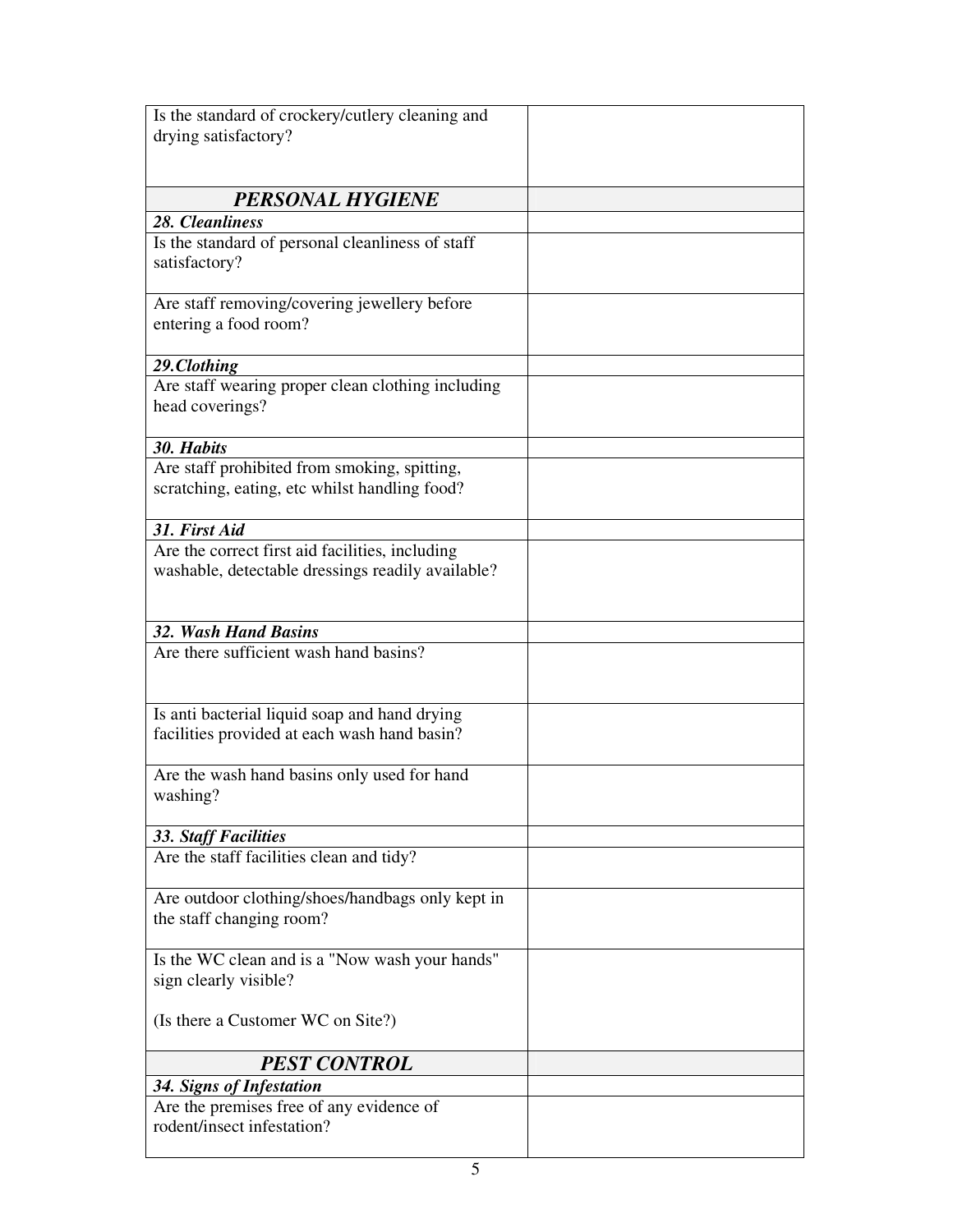| Is the standard of crockery/cutlery cleaning and  |  |
|---------------------------------------------------|--|
| drying satisfactory?                              |  |
|                                                   |  |
|                                                   |  |
| <b>PERSONAL HYGIENE</b>                           |  |
| 28. Cleanliness                                   |  |
| Is the standard of personal cleanliness of staff  |  |
| satisfactory?                                     |  |
|                                                   |  |
| Are staff removing/covering jewellery before      |  |
| entering a food room?                             |  |
|                                                   |  |
| 29.Clothing                                       |  |
| Are staff wearing proper clean clothing including |  |
| head coverings?                                   |  |
|                                                   |  |
| 30. Habits                                        |  |
| Are staff prohibited from smoking, spitting,      |  |
| scratching, eating, etc whilst handling food?     |  |
|                                                   |  |
| 31. First Aid                                     |  |
| Are the correct first aid facilities, including   |  |
| washable, detectable dressings readily available? |  |
|                                                   |  |
|                                                   |  |
| <b>32. Wash Hand Basins</b>                       |  |
| Are there sufficient wash hand basins?            |  |
|                                                   |  |
|                                                   |  |
| Is anti bacterial liquid soap and hand drying     |  |
| facilities provided at each wash hand basin?      |  |
|                                                   |  |
| Are the wash hand basins only used for hand       |  |
| washing?                                          |  |
|                                                   |  |
| <b>33. Staff Facilities</b>                       |  |
| Are the staff facilities clean and tidy?          |  |
|                                                   |  |
| Are outdoor clothing/shoes/handbags only kept in  |  |
| the staff changing room?                          |  |
|                                                   |  |
| Is the WC clean and is a "Now wash your hands"    |  |
| sign clearly visible?                             |  |
|                                                   |  |
| (Is there a Customer WC on Site?)                 |  |
|                                                   |  |
| <b>PEST CONTROL</b>                               |  |
| 34. Signs of Infestation                          |  |
| Are the premises free of any evidence of          |  |
| rodent/insect infestation?                        |  |
|                                                   |  |
|                                                   |  |